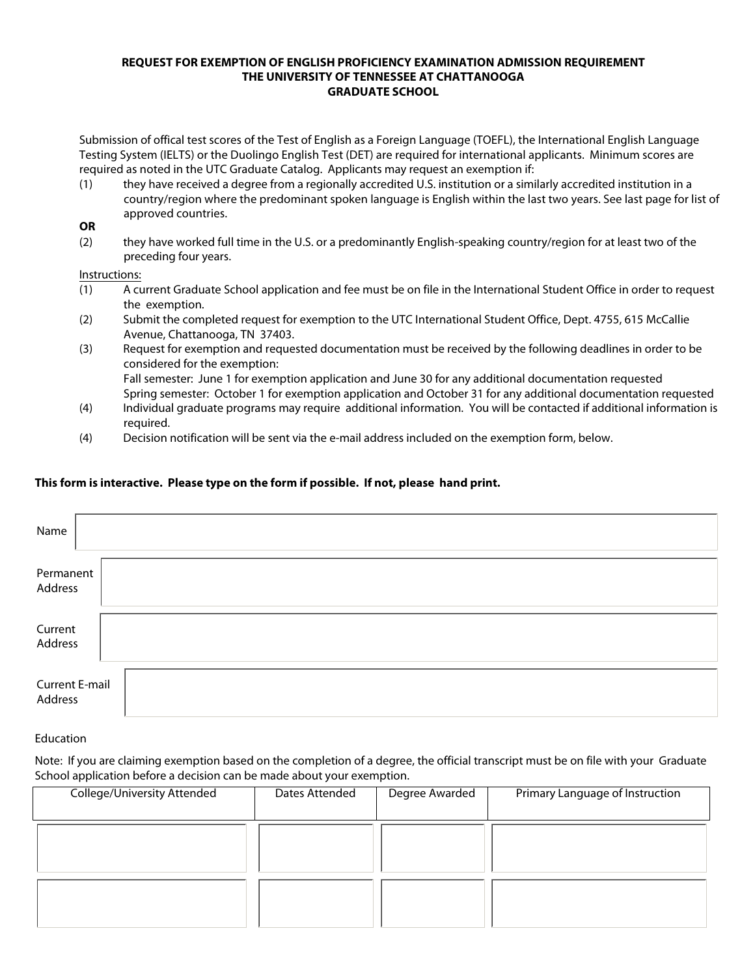#### **REQUEST FOR EXEMPTION OF ENGLISH PROFICIENCY EXAMINATION ADMISSION REQUIREMENT THE UNIVERSITY OF TENNESSEE AT CHATTANOOGA GRADUATE SCHOOL**

Submission of offical test scores of the Test of English as a Foreign Language (TOEFL), the International English Language Testing System (IELTS) or the Duolingo English Test (DET) are required for international applicants. Minimum scores are required as noted in the UTC Graduate Catalog. Applicants may request an exemption if:

(1) they have received a degree from a regionally accredited U.S. institution or a similarly accredited institution in a country/region where the predominant spoken language is English within the last two years. See last page for list of approved countries.

#### **OR**

(2) they have worked full time in the U.S. or a predominantly English-speaking country/region for at least two of the preceding four years.

### Instructions:

- (1) A current Graduate School application and fee must be on file in the International Student Office in order to request the exemption.
- (2) Submit the completed request for exemption to the UTC International Student Office, Dept. 4755, 615 McCallie Avenue, Chattanooga, TN 37403.
- (3) Request for exemption and requested documentation must be received by the following deadlines in order to be considered for the exemption: Fall semester: June 1 for exemption application and June 30 for any additional documentation requested Spring semester: October 1 for exemption application and October 31 for any additional documentation requested
- (4) Individual graduate programs may require additional information. You will be contacted if additional information is required.
- (4) Decision notification will be sent via the e-mail address included on the exemption form, below.

## **This form is interactive. Please type on the form if possible. If not, please hand print.**

| Name                             |  |
|----------------------------------|--|
| Permanent<br>Address             |  |
| Current<br>Address               |  |
| <b>Current E-mail</b><br>Address |  |

## Education

Note: If you are claiming exemption based on the completion of a degree, the official transcript must be on file with your Graduate School application before a decision can be made about your exemption.

| College/University Attended | Dates Attended | Degree Awarded | Primary Language of Instruction |
|-----------------------------|----------------|----------------|---------------------------------|
|                             |                |                |                                 |
|                             |                |                |                                 |
|                             |                |                |                                 |
|                             |                |                |                                 |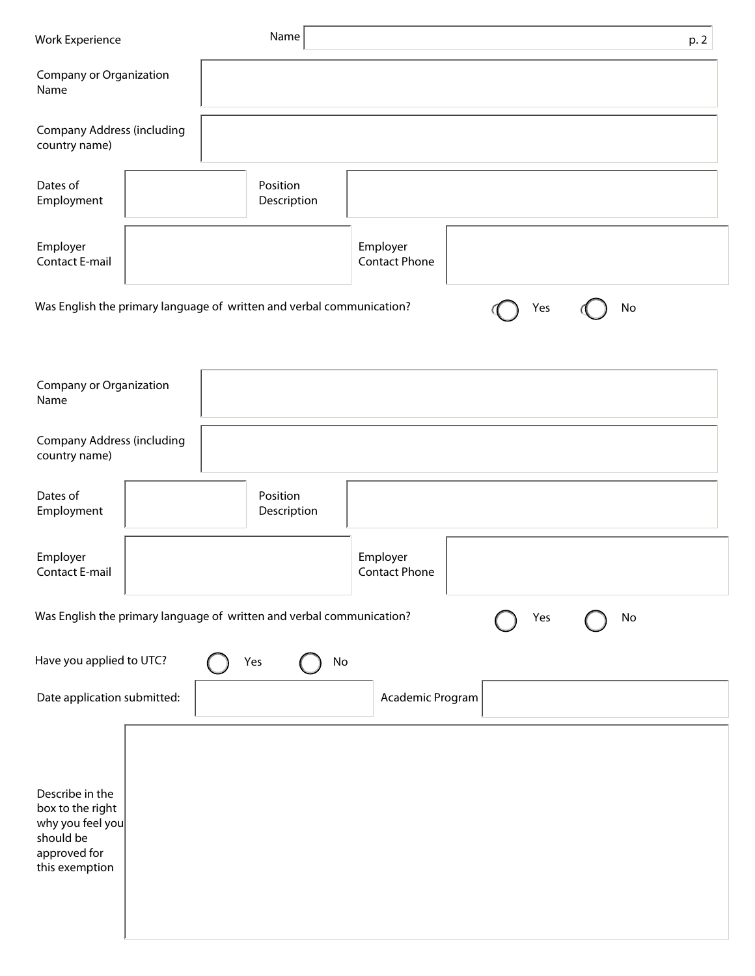| <b>Work Experience</b>                                                                                 |  | Name                                                                  |                                  |     | p. 2 |  |  |  |
|--------------------------------------------------------------------------------------------------------|--|-----------------------------------------------------------------------|----------------------------------|-----|------|--|--|--|
| Company or Organization<br>Name                                                                        |  |                                                                       |                                  |     |      |  |  |  |
| Company Address (including<br>country name)                                                            |  |                                                                       |                                  |     |      |  |  |  |
| Dates of<br>Employment                                                                                 |  | Position<br>Description                                               |                                  |     |      |  |  |  |
| Employer<br>Contact E-mail                                                                             |  |                                                                       | Employer<br><b>Contact Phone</b> |     |      |  |  |  |
|                                                                                                        |  | Was English the primary language of written and verbal communication? |                                  | Yes | No   |  |  |  |
| Company or Organization<br>Name                                                                        |  |                                                                       |                                  |     |      |  |  |  |
| Company Address (including<br>country name)                                                            |  |                                                                       |                                  |     |      |  |  |  |
| Dates of<br>Employment                                                                                 |  | Position<br>Description                                               |                                  |     |      |  |  |  |
| Employer<br><b>Contact E-mail</b>                                                                      |  |                                                                       | Employer<br><b>Contact Phone</b> |     |      |  |  |  |
| Was English the primary language of written and verbal communication?<br>No<br>Yes                     |  |                                                                       |                                  |     |      |  |  |  |
| Have you applied to UTC?                                                                               |  | Yes                                                                   | $\operatorname{\mathsf{No}}$     |     |      |  |  |  |
| Date application submitted:<br>Academic Program                                                        |  |                                                                       |                                  |     |      |  |  |  |
| Describe in the<br>box to the right<br>why you feel you<br>should be<br>approved for<br>this exemption |  |                                                                       |                                  |     |      |  |  |  |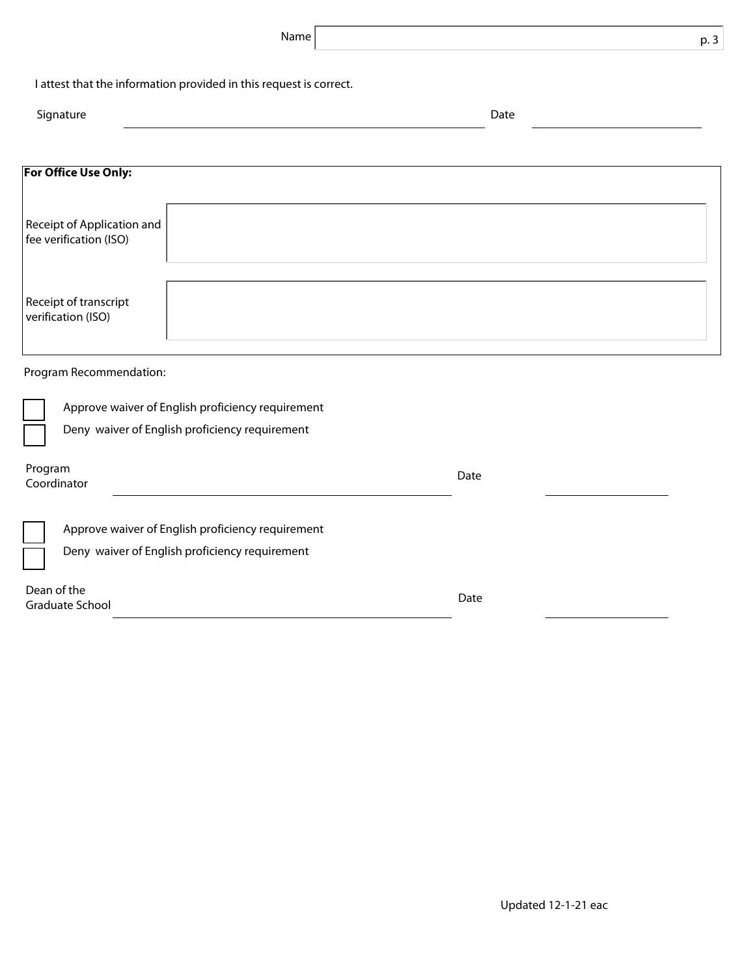| Name                                                                                                |      | p. 3 |  |  |  |  |  |  |
|-----------------------------------------------------------------------------------------------------|------|------|--|--|--|--|--|--|
| I attest that the information provided in this request is correct.                                  |      |      |  |  |  |  |  |  |
| Signature                                                                                           | Date |      |  |  |  |  |  |  |
|                                                                                                     |      |      |  |  |  |  |  |  |
| <b>For Office Use Only:</b>                                                                         |      |      |  |  |  |  |  |  |
| Receipt of Application and<br>fee verification (ISO)                                                |      |      |  |  |  |  |  |  |
| Receipt of transcript<br>verification (ISO)                                                         |      |      |  |  |  |  |  |  |
| Program Recommendation:                                                                             |      |      |  |  |  |  |  |  |
| Approve waiver of English proficiency requirement                                                   |      |      |  |  |  |  |  |  |
| Deny waiver of English proficiency requirement                                                      |      |      |  |  |  |  |  |  |
| Program<br>Coordinator                                                                              | Date |      |  |  |  |  |  |  |
| Approve waiver of English proficiency requirement<br>Deny waiver of English proficiency requirement |      |      |  |  |  |  |  |  |
| Dean of the<br>Graduate School                                                                      | Date |      |  |  |  |  |  |  |